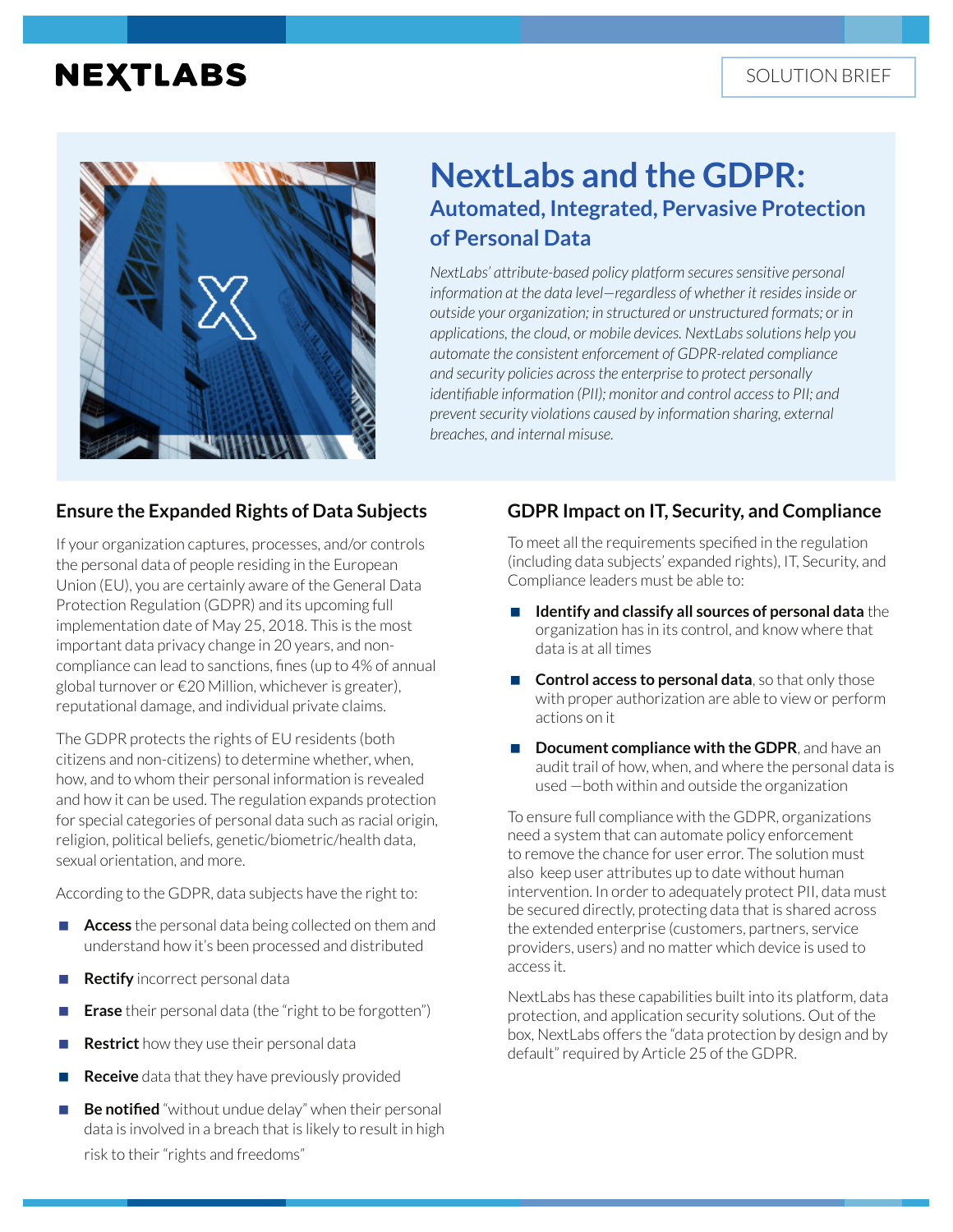# **NEXTLABS**



## **NextLabs and the GDPR: Automated, Integrated, Pervasive Protection of Personal Data**

*NextLabs' attribute-based policy platform secures sensitive personal information at the data level—regardless of whether it resides inside or outside your organization; in structured or unstructured formats; or in applications, the cloud, or mobile devices. NextLabs solutions help you automate the consistent enforcement of GDPR-related compliance and security policies across the enterprise to protect personally identifiable information (PII); monitor and control access to PII; and prevent security violations caused by information sharing, external breaches, and internal misuse.*

#### **Ensure the Expanded Rights of Data Subjects**

If your organization captures, processes, and/or controls the personal data of people residing in the European Union (EU), you are certainly aware of the General Data Protection Regulation (GDPR) and its upcoming full implementation date of May 25, 2018. This is the most important data privacy change in 20 years, and noncompliance can lead to sanctions, fines (up to 4% of annual global turnover or €20 Million, whichever is greater), reputational damage, and individual private claims.

The GDPR protects the rights of EU residents (both citizens and non-citizens) to determine whether, when, how, and to whom their personal information is revealed and how it can be used. The regulation expands protection for special categories of personal data such as racial origin, religion, political beliefs, genetic/biometric/health data, sexual orientation, and more.

According to the GDPR, data subjects have the right to:

- **Access** the personal data being collected on them and understand how it's been processed and distributed
- **Rectify** incorrect personal data
- **Erase** their personal data (the "right to be forgotten")
- **Restrict** how they use their personal data
- **Receive** data that they have previously provided
- **Be notified** "without undue delay" when their personal data is involved in a breach that is likely to result in high risk to their "rights and freedoms"

## **GDPR Impact on IT, Security, and Compliance**

To meet all the requirements specified in the regulation (including data subjects' expanded rights), IT, Security, and Compliance leaders must be able to:

- **Identify and classify all sources of personal data** the organization has in its control, and know where that data is at all times
- **Control access to personal data**, so that only those with proper authorization are able to view or perform actions on it
- **Document compliance with the GDPR**, and have an audit trail of how, when, and where the personal data is used —both within and outside the organization

To ensure full compliance with the GDPR, organizations need a system that can automate policy enforcement to remove the chance for user error. The solution must also keep user attributes up to date without human intervention. In order to adequately protect PII, data must be secured directly, protecting data that is shared across the extended enterprise (customers, partners, service providers, users) and no matter which device is used to access it.

NextLabs has these capabilities built into its platform, data protection, and application security solutions. Out of the box, NextLabs offers the "data protection by design and by default" required by Article 25 of the GDPR.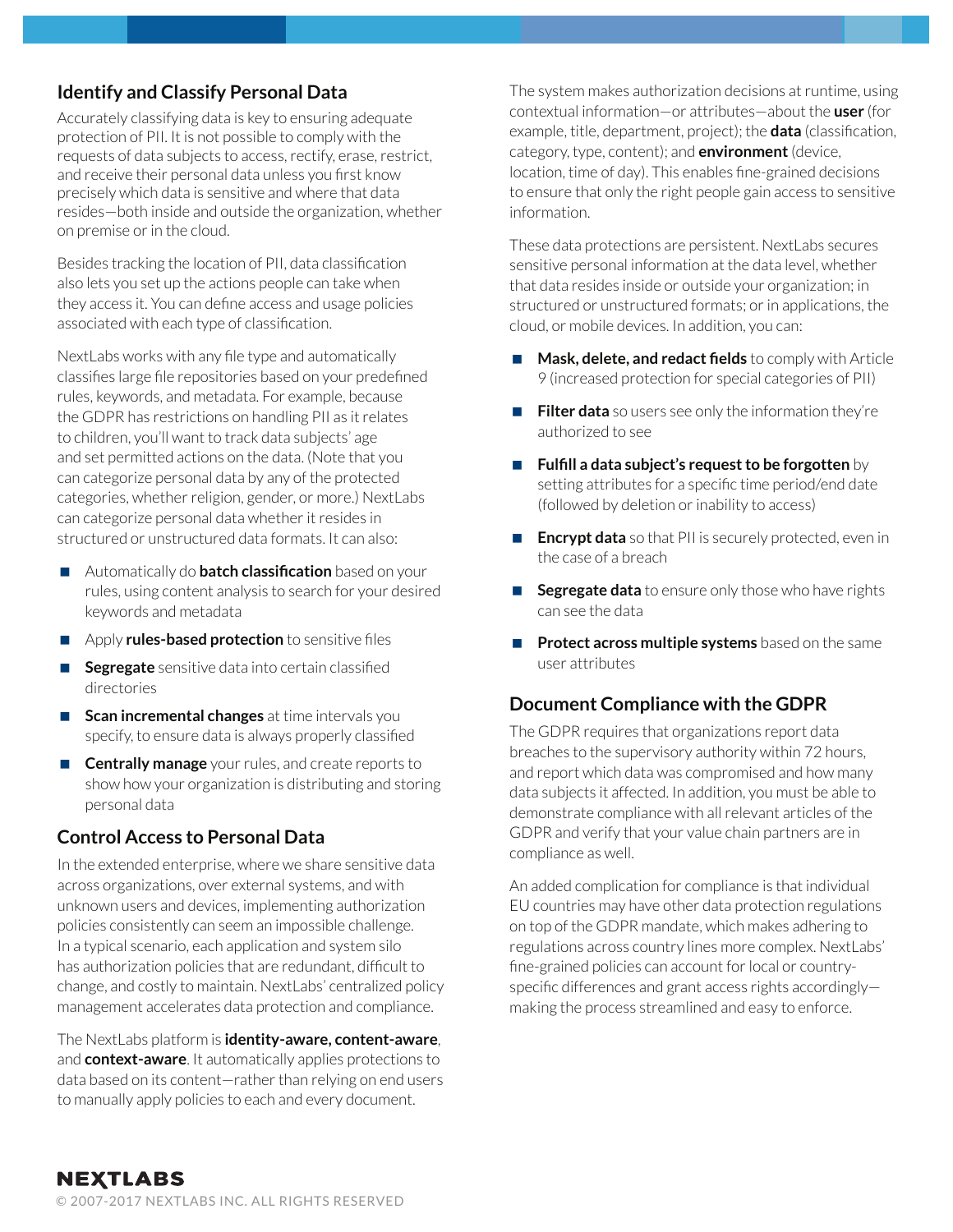## **Identify and Classify Personal Data**

Accurately classifying data is key to ensuring adequate protection of PII. It is not possible to comply with the requests of data subjects to access, rectify, erase, restrict, and receive their personal data unless you first know precisely which data is sensitive and where that data resides—both inside and outside the organization, whether on premise or in the cloud.

Besides tracking the location of PII, data classification also lets you set up the actions people can take when they access it. You can define access and usage policies associated with each type of classification.

NextLabs works with any file type and automatically classifies large file repositories based on your predefined rules, keywords, and metadata. For example, because the GDPR has restrictions on handling PII as it relates to children, you'll want to track data subjects' age and set permitted actions on the data. (Note that you can categorize personal data by any of the protected categories, whether religion, gender, or more.) NextLabs can categorize personal data whether it resides in structured or unstructured data formats. It can also:

- Automatically do **batch classification** based on your rules, using content analysis to search for your desired keywords and metadata
- **Apply rules-based protection** to sensitive files
- **Segregate** sensitive data into certain classified directories
- **Scan incremental changes** at time intervals you specify, to ensure data is always properly classified
- **Centrally manage** your rules, and create reports to show how your organization is distributing and storing personal data

### **Control Access to Personal Data**

In the extended enterprise, where we share sensitive data across organizations, over external systems, and with unknown users and devices, implementing authorization policies consistently can seem an impossible challenge. In a typical scenario, each application and system silo has authorization policies that are redundant, difficult to change, and costly to maintain. NextLabs' centralized policy management accelerates data protection and compliance.

The NextLabs platform is **identity-aware, content-aware**, and **context-aware**. It automatically applies protections to data based on its content—rather than relying on end users to manually apply policies to each and every document.

The system makes authorization decisions at runtime, using contextual information—or attributes—about the **user** (for example, title, department, project); the **data** (classification, category, type, content); and **environment** (device, location, time of day). This enables fine-grained decisions to ensure that only the right people gain access to sensitive information.

These data protections are persistent. NextLabs secures sensitive personal information at the data level, whether that data resides inside or outside your organization; in structured or unstructured formats; or in applications, the cloud, or mobile devices. In addition, you can:

- **Mask, delete, and redact fields** to comply with Article 9 (increased protection for special categories of PII)
- **Filter data** so users see only the information they're authorized to see
- **Fulfill a data subject's request to be forgotten** by setting attributes for a specific time period/end date (followed by deletion or inability to access)
- **Encrypt data** so that PII is securely protected, even in the case of a breach
- **Segregate data** to ensure only those who have rights can see the data
- **Protect across multiple systems** based on the same user attributes

### **Document Compliance with the GDPR**

The GDPR requires that organizations report data breaches to the supervisory authority within 72 hours, and report which data was compromised and how many data subjects it affected. In addition, you must be able to demonstrate compliance with all relevant articles of the GDPR and verify that your value chain partners are in compliance as well.

An added complication for compliance is that individual EU countries may have other data protection regulations on top of the GDPR mandate, which makes adhering to regulations across country lines more complex. NextLabs' fine-grained policies can account for local or countryspecific differences and grant access rights accordingly making the process streamlined and easy to enforce.